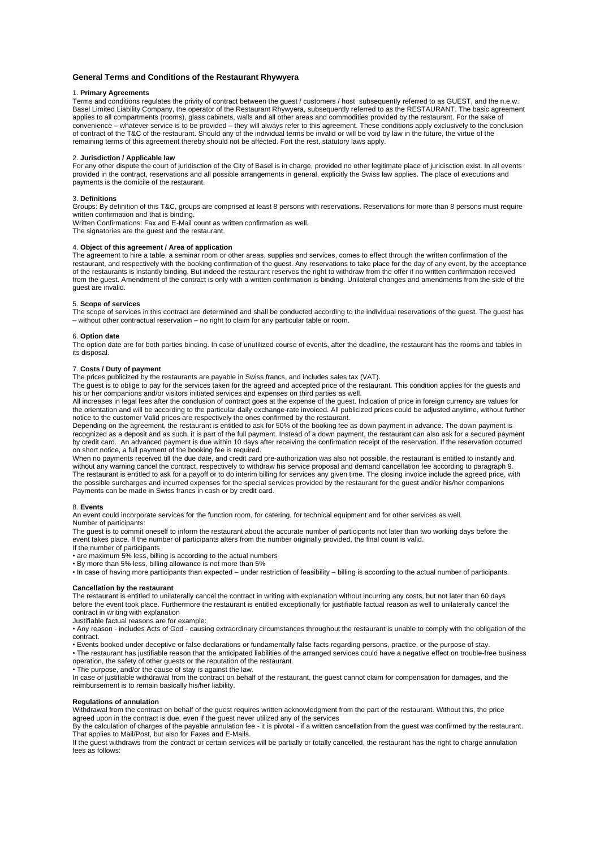# **General Terms and Conditions of the Restaurant Rhywyera**

### 1. **Primary Agreements**

Terms and conditions regulates the privity of contract between the guest / customers / host subsequently referred to as GUEST, and the n.e.w. Basel Limited Liability Company, the operator of the Restaurant Rhywyera, subsequently referred to as the RESTAURANT. The basic agreement applies to all compartments (rooms), glass cabinets, walls and all other areas and commodities provided by the restaurant. For the sake of convenience – whatever service is to be provided – they will always refer to this agreement. These conditions apply exclusively to the conclusion of contract of the T&C of the restaurant. Should any of the individual terms be invalid or will be void by law in the future, the virtue of the remaining terms of this agreement thereby should not be affected. Fort the rest, statutory laws apply.

### 2. **Jurisdiction / Applicable law**

For any other dispute the court of juridisction of the City of Basel is in charge, provided no other legitimate place of juridisction exist. In all events provided in the contract, reservations and all possible arrangements in general, explicitly the Swiss law applies. The place of executions and payments is the domicile of the restaurant.

### 3. **Definitions**

Groups: By definition of this T&C, groups are comprised at least 8 persons with reservations. Reservations for more than 8 persons must require written confirmation and that is binding.

Written Confirmations: Fax and E-Mail count as written confirmation as well.

The signatories are the guest and the restaurant.

# 4. **Object of this agreement / Area of application**

The agreement to hire a table, a seminar room or other areas, supplies and services, comes to effect through the written confirmation of the restaurant, and respectively with the booking confirmation of the guest. Any reservations to take place for the day of any event, by the acceptance of the restaurants is instantly binding. But indeed the restaurant reserves the right to withdraw from the offer if no written confirmation received from the guest. Amendment of the contract is only with a written confirmation is binding. Unilateral changes and amendments from the side of the guest are invalid.

### 5. **Scope of services**

The scope of services in this contract are determined and shall be conducted according to the individual reservations of the guest. The guest has – without other contractual reservation – no right to claim for any particular table or room.

#### 6. **Option date**

The option date are for both parties binding. In case of unutilized course of events, after the deadline, the restaurant has the rooms and tables in its disposal.

### 7. **Costs / Duty of payment**

The prices publicized by the restaurants are payable in Swiss francs, and includes sales tax (VAT).

The guest is to oblige to pay for the services taken for the agreed and accepted price of the restaurant. This condition applies for the guests and his or her companions and/or visitors initiated services and expenses on third parties as well.

All increases in legal fees after the conclusion of contract goes at the expense of the guest. Indication of price in foreign currency are values for the orientation and will be according to the particular daily exchange-rate invoiced. All publicized prices could be adjusted anytime, without further notice to the customer Valid prices are respectively the ones confirmed by the restaurant.

Depending on the agreement, the restaurant is entitled to ask for 50% of the booking fee as down payment in advance. The down payment is recognized as a deposit and as such, it is part of the full payment. Instead of a down payment, the restaurant can also ask for a secured payment by credit card. An advanced payment is due within 10 days after receiving the confirmation receipt of the reservation. If the reservation occurred on short notice, a full payment of the booking fee is required.

When no payments received till the due date, and credit card pre-authorization was also not possible, the restaurant is entitled to instantly and without any warning cancel the contract, respectively to withdraw his service proposal and demand cancellation fee according to paragraph 9. The restaurant is entitled to ask for a payoff or to do interim billing for services any given time. The closing invoice include the agreed price, with the possible surcharges and incurred expenses for the special services provided by the restaurant for the guest and/or his/her companions Payments can be made in Swiss francs in cash or by credit card.

### 8. **Events**

An event could incorporate services for the function room, for catering, for technical equipment and for other services as well. Number of participants:

The guest is to commit oneself to inform the restaurant about the accurate number of participants not later than two working days before the event takes place. If the number of participants alters from the number originally provided, the final count is valid.

If the number of participants

• are maximum 5% less, billing is according to the actual numbers

• By more than 5% less, billing allowance is not more than 5%

• In case of having more participants than expected – under restriction of feasibility – billing is according to the actual number of participants.

# **Cancellation by the restaurant**

The restaurant is entitled to unilaterally cancel the contract in writing with explanation without incurring any costs, but not later than 60 days before the event took place. Furthermore the restaurant is entitled exceptionally for justifiable factual reason as well to unilaterally cancel the contract in writing with explanation

Justifiable factual reasons are for example:

• Any reason - includes Acts of God - causing extraordinary circumstances throughout the restaurant is unable to comply with the obligation of the contract.

• Events booked under deceptive or false declarations or fundamentally false facts regarding persons, practice, or the purpose of stay. • The restaurant has justifiable reason that the anticipated liabilities of the arranged services could have a negative effect on trouble-free business operation, the safety of other guests or the reputation of the restaurant.

• The purpose, and/or the cause of stay is against the law.

In case of justifiable withdrawal from the contract on behalf of the restaurant, the guest cannot claim for compensation for damages, and the reimbursement is to remain basically his/her liability.

## **Regulations of annulation**

Withdrawal from the contract on behalf of the guest requires written acknowledgment from the part of the restaurant. Without this, the price agreed upon in the contract is due, even if the guest never utilized any of the services

By the calculation of charges of the payable annulation fee - it is pivotal - if a written cancellation from the guest was confirmed by the restaurant. That applies to Mail/Post, but also for Faxes and E-Mails.

If the guest withdraws from the contract or certain services will be partially or totally cancelled, the restaurant has the right to charge annulation fees as follows: